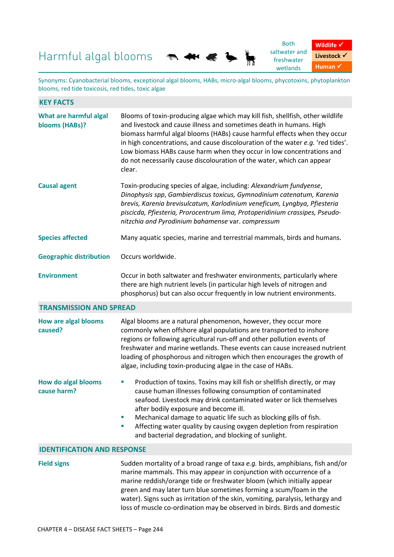## Harmful algal blooms



Synonyms: Cyanobacterial blooms, exceptional algal blooms, HABs, micro-algal blooms, phycotoxins, phytoplankton blooms, red tide toxicosis, red tides, toxic algae

看

| <b>KEY FACTS</b>                          |                                                                                                                                                                                                                                                                                                                                                                                                                                                                                                                                |
|-------------------------------------------|--------------------------------------------------------------------------------------------------------------------------------------------------------------------------------------------------------------------------------------------------------------------------------------------------------------------------------------------------------------------------------------------------------------------------------------------------------------------------------------------------------------------------------|
| What are harmful algal<br>blooms (HABs)?  | Blooms of toxin-producing algae which may kill fish, shellfish, other wildlife<br>and livestock and cause illness and sometimes death in humans. High<br>biomass harmful algal blooms (HABs) cause harmful effects when they occur<br>in high concentrations, and cause discolouration of the water e.g. 'red tides'.<br>Low biomass HABs cause harm when they occur in low concentrations and<br>do not necessarily cause discolouration of the water, which can appear<br>clear.                                             |
| <b>Causal agent</b>                       | Toxin-producing species of algae, including: Alexandrium fundyense,<br>Dinophysis spp, Gambierdiscus toxicus, Gymnodinium catenatum, Karenia<br>brevis, Karenia brevisulcatum, Karlodinium veneficum, Lyngbya, Pfiesteria<br>piscicda, Pfiesteria, Prorocentrum lima, Protoperidinium crassipes, Pseudo-<br>nitzchia and Pyrodinium bahamense var. compressum                                                                                                                                                                  |
| <b>Species affected</b>                   | Many aquatic species, marine and terrestrial mammals, birds and humans.                                                                                                                                                                                                                                                                                                                                                                                                                                                        |
| <b>Geographic distribution</b>            | Occurs worldwide.                                                                                                                                                                                                                                                                                                                                                                                                                                                                                                              |
| <b>Environment</b>                        | Occur in both saltwater and freshwater environments, particularly where<br>there are high nutrient levels (in particular high levels of nitrogen and<br>phosphorus) but can also occur frequently in low nutrient environments.                                                                                                                                                                                                                                                                                                |
| <b>TRANSMISSION AND SPREAD</b>            |                                                                                                                                                                                                                                                                                                                                                                                                                                                                                                                                |
| <b>How are algal blooms</b><br>caused?    | Algal blooms are a natural phenomenon, however, they occur more<br>commonly when offshore algal populations are transported to inshore<br>regions or following agricultural run-off and other pollution events of<br>freshwater and marine wetlands. These events can cause increased nutrient<br>loading of phosphorous and nitrogen which then encourages the growth of<br>algae, including toxin-producing algae in the case of HABs.                                                                                       |
| <b>How do algal blooms</b><br>cause harm? | Production of toxins. Toxins may kill fish or shellfish directly, or may<br>$\mathcal{L}_{\mathcal{A}}$<br>cause human illnesses following consumption of contaminated<br>seafood. Livestock may drink contaminated water or lick themselves<br>after bodily exposure and become ill.<br>Mechanical damage to aquatic life such as blocking gills of fish.<br>$\mathcal{L}_{\mathcal{A}}$<br>Affecting water quality by causing oxygen depletion from respiration<br>ш<br>and bacterial degradation, and blocking of sunlight. |
| <b>IDENTIFICATION AND RESPONSE</b>        |                                                                                                                                                                                                                                                                                                                                                                                                                                                                                                                                |
| <b>Field signs</b>                        | Sudden mortality of a broad range of taxa e.g. birds, amphibians, fish and/or<br>marine mammals. This may appear in conjunction with occurrence of a<br>marine reddish/orange tide or freshwater bloom (which initially appear<br>green and may later turn blue sometimes forming a scum/foam in the<br>water). Signs such as irritation of the skin, vomiting, paralysis, lethargy and<br>loss of muscle co-ordination may be observed in birds. Birds and domestic                                                           |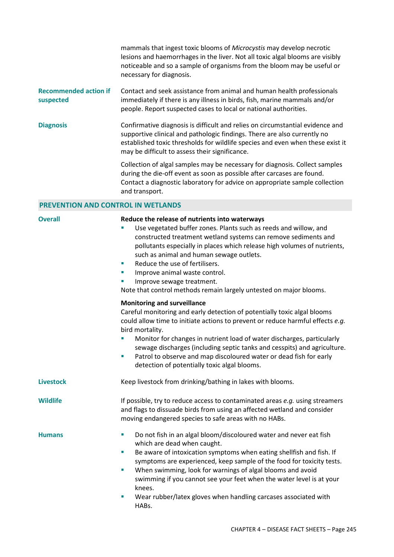mammals that ingest toxic blooms of *Microcystis* may develop necrotic lesions and haemorrhages in the liver. Not all toxic algal blooms are visibly noticeable and so a sample of organisms from the bloom may be useful or necessary for diagnosis.

## **Recommended action if suspected**  Contact and seek assistance from animal and human health professionals immediately if there is any illness in birds, fish, marine mammals and/or people. Report suspected cases to local or national authorities.

**Diagnosis** Confirmative diagnosis is difficult and relies on circumstantial evidence and supportive clinical and pathologic findings. There are also currently no established toxic thresholds for wildlife species and even when these exist it may be difficult to assess their significance.

> Collection of algal samples may be necessary for diagnosis. Collect samples during the die-off event as soon as possible after carcases are found. Contact a diagnostic laboratory for advice on appropriate sample collection and transport.

## **PREVENTION AND CONTROL IN WETLANDS**

| <b>Overall</b>   | Reduce the release of nutrients into waterways<br>Use vegetated buffer zones. Plants such as reeds and willow, and<br>constructed treatment wetland systems can remove sediments and<br>pollutants especially in places which release high volumes of nutrients,<br>such as animal and human sewage outlets.<br>Reduce the use of fertilisers.<br>×<br>Improve animal waste control.<br>$\mathcal{L}_{\mathcal{A}}$<br>Improve sewage treatment.<br>×<br>Note that control methods remain largely untested on major blooms. |
|------------------|-----------------------------------------------------------------------------------------------------------------------------------------------------------------------------------------------------------------------------------------------------------------------------------------------------------------------------------------------------------------------------------------------------------------------------------------------------------------------------------------------------------------------------|
|                  | <b>Monitoring and surveillance</b><br>Careful monitoring and early detection of potentially toxic algal blooms<br>could allow time to initiate actions to prevent or reduce harmful effects e.g.<br>bird mortality.<br>Monitor for changes in nutrient load of water discharges, particularly<br>sewage discharges (including septic tanks and cesspits) and agriculture.<br>Patrol to observe and map discoloured water or dead fish for early<br>T,<br>detection of potentially toxic algal blooms.                       |
| <b>Livestock</b> | Keep livestock from drinking/bathing in lakes with blooms.                                                                                                                                                                                                                                                                                                                                                                                                                                                                  |
| <b>Wildlife</b>  | If possible, try to reduce access to contaminated areas e.g. using streamers<br>and flags to dissuade birds from using an affected wetland and consider<br>moving endangered species to safe areas with no HABs.                                                                                                                                                                                                                                                                                                            |
| <b>Humans</b>    | Do not fish in an algal bloom/discoloured water and never eat fish<br>$\blacksquare$<br>which are dead when caught.<br>Be aware of intoxication symptoms when eating shellfish and fish. If<br>ш<br>symptoms are experienced, keep sample of the food for toxicity tests.<br>When swimming, look for warnings of algal blooms and avoid<br>×,<br>swimming if you cannot see your feet when the water level is at your<br>knees.<br>Wear rubber/latex gloves when handling carcases associated with<br>×,<br>HABs.           |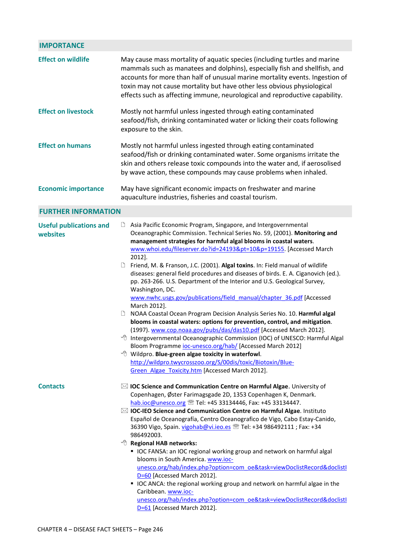| <b>IMPORTANCE</b>                          |                                                                                                                                                                                                                                                                                                                                                                                                                                                                                                                                                                                                                                                                                                                                                                                                                                                                                                                                                                                                                                                                                                                                                                                                                                                                |
|--------------------------------------------|----------------------------------------------------------------------------------------------------------------------------------------------------------------------------------------------------------------------------------------------------------------------------------------------------------------------------------------------------------------------------------------------------------------------------------------------------------------------------------------------------------------------------------------------------------------------------------------------------------------------------------------------------------------------------------------------------------------------------------------------------------------------------------------------------------------------------------------------------------------------------------------------------------------------------------------------------------------------------------------------------------------------------------------------------------------------------------------------------------------------------------------------------------------------------------------------------------------------------------------------------------------|
| <b>Effect on wildlife</b>                  | May cause mass mortality of aquatic species (including turtles and marine<br>mammals such as manatees and dolphins), especially fish and shellfish, and<br>accounts for more than half of unusual marine mortality events. Ingestion of<br>toxin may not cause mortality but have other less obvious physiological<br>effects such as affecting immune, neurological and reproductive capability.                                                                                                                                                                                                                                                                                                                                                                                                                                                                                                                                                                                                                                                                                                                                                                                                                                                              |
| <b>Effect on livestock</b>                 | Mostly not harmful unless ingested through eating contaminated<br>seafood/fish, drinking contaminated water or licking their coats following<br>exposure to the skin.                                                                                                                                                                                                                                                                                                                                                                                                                                                                                                                                                                                                                                                                                                                                                                                                                                                                                                                                                                                                                                                                                          |
| <b>Effect on humans</b>                    | Mostly not harmful unless ingested through eating contaminated<br>seafood/fish or drinking contaminated water. Some organisms irritate the<br>skin and others release toxic compounds into the water and, if aerosolised<br>by wave action, these compounds may cause problems when inhaled.                                                                                                                                                                                                                                                                                                                                                                                                                                                                                                                                                                                                                                                                                                                                                                                                                                                                                                                                                                   |
| <b>Economic importance</b>                 | May have significant economic impacts on freshwater and marine<br>aquaculture industries, fisheries and coastal tourism.                                                                                                                                                                                                                                                                                                                                                                                                                                                                                                                                                                                                                                                                                                                                                                                                                                                                                                                                                                                                                                                                                                                                       |
| <b>FURTHER INFORMATION</b>                 |                                                                                                                                                                                                                                                                                                                                                                                                                                                                                                                                                                                                                                                                                                                                                                                                                                                                                                                                                                                                                                                                                                                                                                                                                                                                |
| <b>Useful publications and</b><br>websites | Asia Pacific Economic Program, Singapore, and Intergovernmental<br>∐<br>Oceanographic Commission. Technical Series No. 59, (2001). Monitoring and<br>management strategies for harmful algal blooms in coastal waters.<br>www.whoi.edu/fileserver.do?id=24193&pt=10&p=19155. [Accessed March<br>2012].<br>Friend, M. & Franson, J.C. (2001). Algal toxins. In: Field manual of wildlife<br>diseases: general field procedures and diseases of birds. E. A. Ciganovich (ed.).<br>pp. 263-266. U.S. Department of the Interior and U.S. Geological Survey,<br>Washington, DC.<br>www.nwhc.usgs.gov/publications/field_manual/chapter_36.pdf [Accessed<br>March 2012].<br>NOAA Coastal Ocean Program Decision Analysis Series No. 10. Harmful algal<br>∐<br>blooms in coastal waters: options for prevention, control, and mitigation.<br>(1997). www.cop.noaa.gov/pubs/das/das10.pdf [Accessed March 2012].<br><sup><sup>®</sup> Intergovernmental Oceanographic Commission (IOC) of UNESCO: Harmful Algal</sup><br>Bloom Programme ioc-unesco.org/hab/ [Accessed March 2012]<br><sup>t</sup> Wildpro. Blue-green algae toxicity in waterfowl.<br>http://wildpro.twycrosszoo.org/S/00dis/toxic/Biotoxin/Blue-<br>Green Algae Toxicity.htm [Accessed March 2012]. |
| <b>Contacts</b>                            | $\boxtimes$ IOC Science and Communication Centre on Harmful Algae. University of<br>Copenhagen, Øster Farimagsgade 2D, 1353 Copenhagen K, Denmark.<br>hab.ioc@unesco.org <sup>®</sup> Tel: +45 33134446, Fax: +45 33134447.<br>$\boxtimes$ IOC-IEO Science and Communication Centre on Harmful Algae. Instituto<br>Español de Oceanografía, Centro Oceanografico de Vigo, Cabo Estay-Canido,<br>36390 Vigo, Spain. vigohab@vi.ieo.es <sup>®</sup> Tel: +34 986492111; Fax: +34<br>986492003.<br><sup><sup>t</sup> Regional HAB networks:</sup><br>" IOC FANSA: an IOC regional working group and network on harmful algal<br>blooms in South America. www.ioc-<br>unesco.org/hab/index.php?option=com_oe&task=viewDoclistRecord&doclistI<br>D=60 [Accessed March 2012].<br>" IOC ANCA: the regional working group and network on harmful algae in the<br>Caribbean. www.ioc-<br>unesco.org/hab/index.php?option=com_oe&task=viewDoclistRecord&doclistI<br>D=61 [Accessed March 2012].                                                                                                                                                                                                                                                                          |